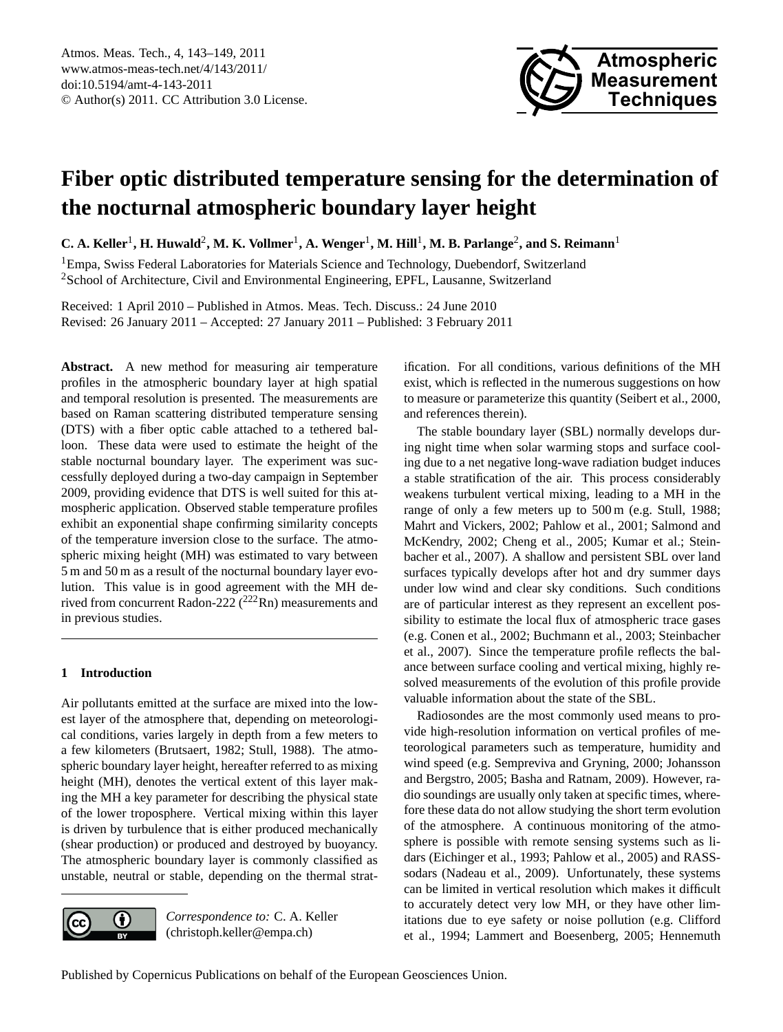

# **Fiber optic distributed temperature sensing for the determination of the nocturnal atmospheric boundary layer height**

 $C$ . A. Keller<sup>1</sup>, H. Huwald<sup>2</sup>, M. K. Vollmer<sup>1</sup>, A. Wenger<sup>1</sup>, M. Hill<sup>1</sup>, M. B. Parlange<sup>2</sup>, and S. Reimann<sup>1</sup>

<sup>1</sup>Empa, Swiss Federal Laboratories for Materials Science and Technology, Duebendorf, Switzerland <sup>2</sup>School of Architecture, Civil and Environmental Engineering, EPFL, Lausanne, Switzerland

Received: 1 April 2010 – Published in Atmos. Meas. Tech. Discuss.: 24 June 2010 Revised: 26 January 2011 – Accepted: 27 January 2011 – Published: 3 February 2011

**Abstract.** A new method for measuring air temperature profiles in the atmospheric boundary layer at high spatial and temporal resolution is presented. The measurements are based on Raman scattering distributed temperature sensing (DTS) with a fiber optic cable attached to a tethered balloon. These data were used to estimate the height of the stable nocturnal boundary layer. The experiment was successfully deployed during a two-day campaign in September 2009, providing evidence that DTS is well suited for this atmospheric application. Observed stable temperature profiles exhibit an exponential shape confirming similarity concepts of the temperature inversion close to the surface. The atmospheric mixing height (MH) was estimated to vary between 5 m and 50 m as a result of the nocturnal boundary layer evolution. This value is in good agreement with the MH derived from concurrent Radon-222 (<sup>222</sup>Rn) measurements and in previous studies.

## **1 Introduction**

Air pollutants emitted at the surface are mixed into the lowest layer of the atmosphere that, depending on meteorological conditions, varies largely in depth from a few meters to a few kilometers (Brutsaert, 1982; Stull, 1988). The atmospheric boundary layer height, hereafter referred to as mixing height (MH), denotes the vertical extent of this layer making the MH a key parameter for describing the physical state of the lower troposphere. Vertical mixing within this layer is driven by turbulence that is either produced mechanically (shear production) or produced and destroyed by buoyancy. The atmospheric boundary layer is commonly classified as unstable, neutral or stable, depending on the thermal strat-



*Correspondence to:* C. A. Keller (christoph.keller@empa.ch)

ification. For all conditions, various definitions of the MH exist, which is reflected in the numerous suggestions on how to measure or parameterize this quantity (Seibert et al., 2000, and references therein).

The stable boundary layer (SBL) normally develops during night time when solar warming stops and surface cooling due to a net negative long-wave radiation budget induces a stable stratification of the air. This process considerably weakens turbulent vertical mixing, leading to a MH in the range of only a few meters up to 500 m (e.g. Stull, 1988; Mahrt and Vickers, 2002; Pahlow et al., 2001; Salmond and McKendry, 2002; Cheng et al., 2005; Kumar et al.; Steinbacher et al., 2007). A shallow and persistent SBL over land surfaces typically develops after hot and dry summer days under low wind and clear sky conditions. Such conditions are of particular interest as they represent an excellent possibility to estimate the local flux of atmospheric trace gases (e.g. Conen et al., 2002; Buchmann et al., 2003; Steinbacher et al., 2007). Since the temperature profile reflects the balance between surface cooling and vertical mixing, highly resolved measurements of the evolution of this profile provide valuable information about the state of the SBL.

Radiosondes are the most commonly used means to provide high-resolution information on vertical profiles of meteorological parameters such as temperature, humidity and wind speed (e.g. Sempreviva and Gryning, 2000; Johansson and Bergstro, 2005; Basha and Ratnam, 2009). However, radio soundings are usually only taken at specific times, wherefore these data do not allow studying the short term evolution of the atmosphere. A continuous monitoring of the atmosphere is possible with remote sensing systems such as lidars (Eichinger et al., 1993; Pahlow et al., 2005) and RASSsodars (Nadeau et al., 2009). Unfortunately, these systems can be limited in vertical resolution which makes it difficult to accurately detect very low MH, or they have other limitations due to eye safety or noise pollution (e.g. Clifford et al., 1994; Lammert and Boesenberg, 2005; Hennemuth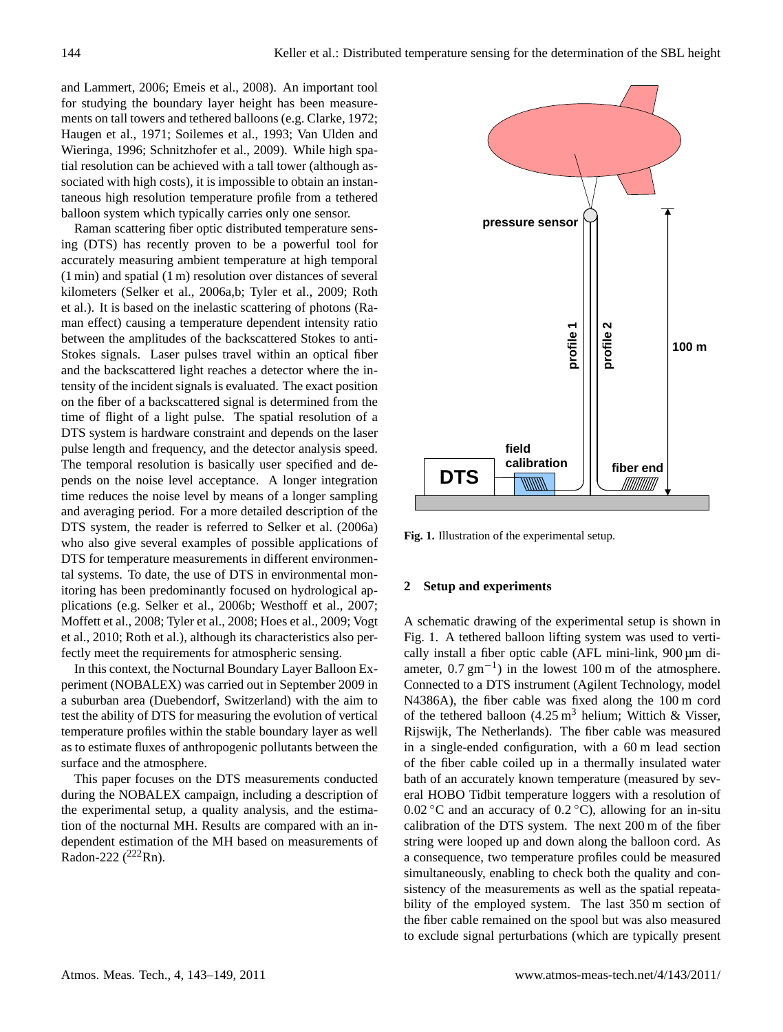and Lammert, 2006; Emeis et al., 2008). An important tool for studying the boundary layer height has been measurements on tall towers and tethered balloons (e.g. Clarke, 1972; Haugen et al., 1971; Soilemes et al., 1993; Van Ulden and Wieringa, 1996; Schnitzhofer et al., 2009). While high spatial resolution can be achieved with a tall tower (although associated with high costs), it is impossible to obtain an instantaneous high resolution temperature profile from a tethered balloon system which typically carries only one sensor.

Raman scattering fiber optic distributed temperature sensing (DTS) has recently proven to be a powerful tool for accurately measuring ambient temperature at high temporal (1 min) and spatial (1 m) resolution over distances of several kilometers (Selker et al., 2006a,b; Tyler et al., 2009; Roth et al.). It is based on the inelastic scattering of photons (Raman effect) causing a temperature dependent intensity ratio between the amplitudes of the backscattered Stokes to anti-Stokes signals. Laser pulses travel within an optical fiber and the backscattered light reaches a detector where the intensity of the incident signals is evaluated. The exact position on the fiber of a backscattered signal is determined from the time of flight of a light pulse. The spatial resolution of a DTS system is hardware constraint and depends on the laser pulse length and frequency, and the detector analysis speed. The temporal resolution is basically user specified and depends on the noise level acceptance. A longer integration time reduces the noise level by means of a longer sampling and averaging period. For a more detailed description of the DTS system, the reader is referred to Selker et al. (2006a) who also give several examples of possible applications of DTS for temperature measurements in different environmental systems. To date, the use of DTS in environmental monitoring has been predominantly focused on hydrological applications (e.g. Selker et al., 2006b; Westhoff et al., 2007; Moffett et al., 2008; Tyler et al., 2008; Hoes et al., 2009; Vogt et al., 2010; Roth et al.), although its characteristics also perfectly meet the requirements for atmospheric sensing.

In this context, the Nocturnal Boundary Layer Balloon Experiment (NOBALEX) was carried out in September 2009 in a suburban area (Duebendorf, Switzerland) with the aim to test the ability of DTS for measuring the evolution of vertical temperature profiles within the stable boundary layer as well as to estimate fluxes of anthropogenic pollutants between the surface and the atmosphere.

This paper focuses on the DTS measurements conducted during the NOBALEX campaign, including a description of the experimental setup, a quality analysis, and the estimation of the nocturnal MH. Results are compared with an independent estimation of the MH based on measurements of Radon-222  $(^{222}$ Rn).



**Fig. 1.** Illustration of the experimental setup.

#### **2 Setup and experiments**

A schematic drawing of the experimental setup is shown in Fig. 1. A tethered balloon lifting system was used to vertically install a fiber optic cable (AFL mini-link, 900 µm diameter,  $0.7 \text{ gm}^{-1}$ ) in the lowest 100 m of the atmosphere. Connected to a DTS instrument (Agilent Technology, model N4386A), the fiber cable was fixed along the 100 m cord of the tethered balloon  $(4.25 \text{ m}^3)$  helium; Wittich & Visser, Rijswijk, The Netherlands). The fiber cable was measured in a single-ended configuration, with a 60 m lead section of the fiber cable coiled up in a thermally insulated water bath of an accurately known temperature (measured by several HOBO Tidbit temperature loggers with a resolution of  $0.02 \degree C$  and an accuracy of  $0.2 \degree C$ ), allowing for an in-situ calibration of the DTS system. The next 200 m of the fiber string were looped up and down along the balloon cord. As a consequence, two temperature profiles could be measured simultaneously, enabling to check both the quality and consistency of the measurements as well as the spatial repeatability of the employed system. The last 350 m section of the fiber cable remained on the spool but was also measured to exclude signal perturbations (which are typically present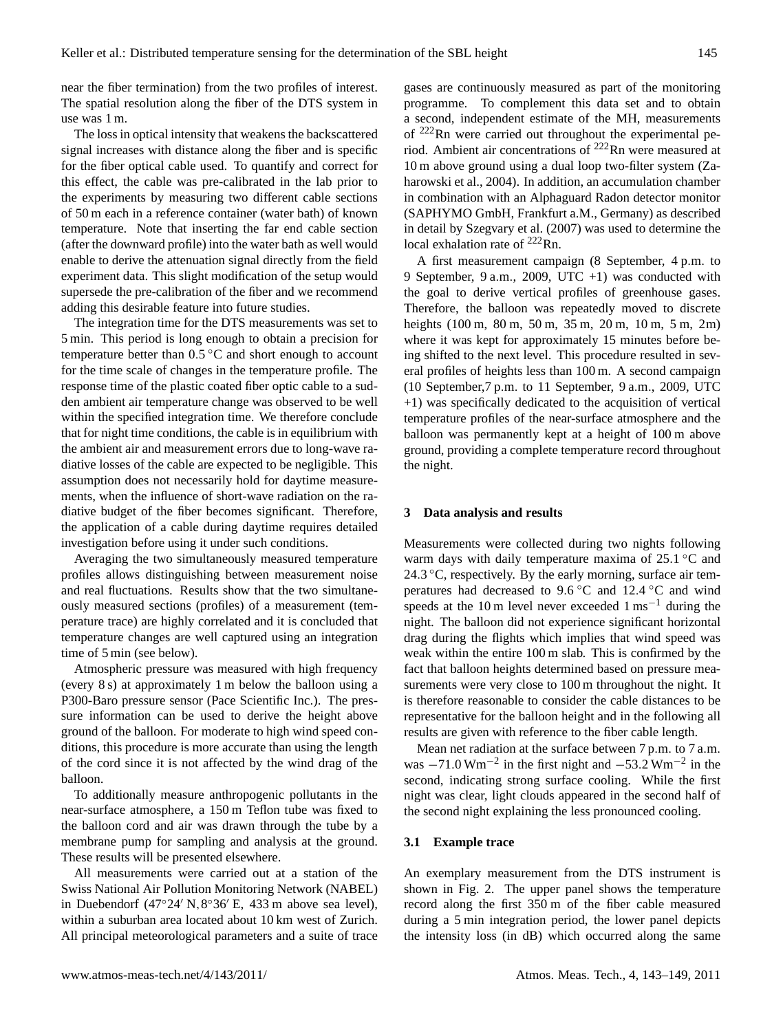near the fiber termination) from the two profiles of interest. The spatial resolution along the fiber of the DTS system in use was 1 m.

The loss in optical intensity that weakens the backscattered signal increases with distance along the fiber and is specific for the fiber optical cable used. To quantify and correct for this effect, the cable was pre-calibrated in the lab prior to the experiments by measuring two different cable sections of 50 m each in a reference container (water bath) of known temperature. Note that inserting the far end cable section (after the downward profile) into the water bath as well would enable to derive the attenuation signal directly from the field experiment data. This slight modification of the setup would supersede the pre-calibration of the fiber and we recommend adding this desirable feature into future studies.

The integration time for the DTS measurements was set to 5 min. This period is long enough to obtain a precision for temperature better than  $0.5\,^{\circ}\text{C}$  and short enough to account for the time scale of changes in the temperature profile. The response time of the plastic coated fiber optic cable to a sudden ambient air temperature change was observed to be well within the specified integration time. We therefore conclude that for night time conditions, the cable is in equilibrium with the ambient air and measurement errors due to long-wave radiative losses of the cable are expected to be negligible. This assumption does not necessarily hold for daytime measurements, when the influence of short-wave radiation on the radiative budget of the fiber becomes significant. Therefore, the application of a cable during daytime requires detailed investigation before using it under such conditions.

Averaging the two simultaneously measured temperature profiles allows distinguishing between measurement noise and real fluctuations. Results show that the two simultaneously measured sections (profiles) of a measurement (temperature trace) are highly correlated and it is concluded that temperature changes are well captured using an integration time of 5 min (see below).

Atmospheric pressure was measured with high frequency (every 8 s) at approximately 1 m below the balloon using a P300-Baro pressure sensor (Pace Scientific Inc.). The pressure information can be used to derive the height above ground of the balloon. For moderate to high wind speed conditions, this procedure is more accurate than using the length of the cord since it is not affected by the wind drag of the balloon.

To additionally measure anthropogenic pollutants in the near-surface atmosphere, a 150 m Teflon tube was fixed to the balloon cord and air was drawn through the tube by a membrane pump for sampling and analysis at the ground. These results will be presented elsewhere.

All measurements were carried out at a station of the Swiss National Air Pollution Monitoring Network (NABEL) in Duebendorf (47°24′ N,8°36′ E, 433 m above sea level), within a suburban area located about 10 km west of Zurich. All principal meteorological parameters and a suite of trace gases are continuously measured as part of the monitoring programme. To complement this data set and to obtain a second, independent estimate of the MH, measurements of <sup>222</sup>Rn were carried out throughout the experimental period. Ambient air concentrations of <sup>222</sup>Rn were measured at 10 m above ground using a dual loop two-filter system (Zaharowski et al., 2004). In addition, an accumulation chamber in combination with an Alphaguard Radon detector monitor (SAPHYMO GmbH, Frankfurt a.M., Germany) as described in detail by Szegvary et al. (2007) was used to determine the local exhalation rate of  $^{222}$ Rn.

A first measurement campaign (8 September, 4 p.m. to 9 September, 9 a.m., 2009, UTC +1) was conducted with the goal to derive vertical profiles of greenhouse gases. Therefore, the balloon was repeatedly moved to discrete heights (100 m, 80 m, 50 m, 35 m, 20 m, 10 m, 5 m, 2m) where it was kept for approximately 15 minutes before being shifted to the next level. This procedure resulted in several profiles of heights less than 100 m. A second campaign (10 September,7 p.m. to 11 September, 9 a.m., 2009, UTC +1) was specifically dedicated to the acquisition of vertical temperature profiles of the near-surface atmosphere and the balloon was permanently kept at a height of 100 m above ground, providing a complete temperature record throughout the night.

#### **3 Data analysis and results**

Measurements were collected during two nights following warm days with daily temperature maxima of 25.1 °C and 24.3 ◦C, respectively. By the early morning, surface air temperatures had decreased to 9.6 °C and 12.4 °C and wind speeds at the 10 m level never exceeded  $1 \text{ ms}^{-1}$  during the night. The balloon did not experience significant horizontal drag during the flights which implies that wind speed was weak within the entire 100 m slab. This is confirmed by the fact that balloon heights determined based on pressure measurements were very close to 100 m throughout the night. It is therefore reasonable to consider the cable distances to be representative for the balloon height and in the following all results are given with reference to the fiber cable length.

Mean net radiation at the surface between 7 p.m. to 7 a.m. was  $-71.0 \text{ Wm}^{-2}$  in the first night and  $-53.2 \text{ Wm}^{-2}$  in the second, indicating strong surface cooling. While the first night was clear, light clouds appeared in the second half of the second night explaining the less pronounced cooling.

#### **3.1 Example trace**

An exemplary measurement from the DTS instrument is shown in Fig. 2. The upper panel shows the temperature record along the first 350 m of the fiber cable measured during a 5 min integration period, the lower panel depicts the intensity loss (in dB) which occurred along the same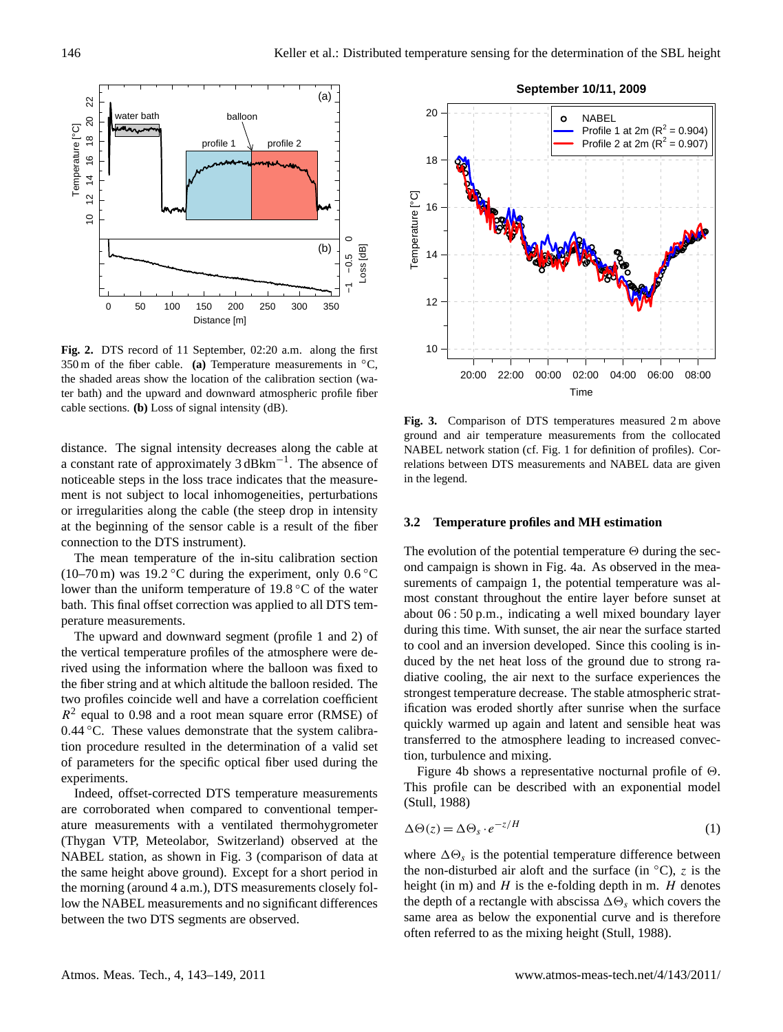

**Fig. 2.** DTS record of 11 September, 02:20 a.m. along the first 350 m of the fiber cable. **(a)** Temperature measurements in ◦C, the shaded areas show the location of the calibration section (water bath) and the upward and downward atmospheric profile fiber cable sections. **(b)** Loss of signal intensity (dB).

distance. The signal intensity decreases along the cable at a constant rate of approximately 3 dBkm−<sup>1</sup> . The absence of noticeable steps in the loss trace indicates that the measurement is not subject to local inhomogeneities, perturbations or irregularities along the cable (the steep drop in intensity at the beginning of the sensor cable is a result of the fiber connection to the DTS instrument).

The mean temperature of the in-situ calibration section (10–70 m) was 19.2 °C during the experiment, only  $0.6$  °C lower than the uniform temperature of 19.8 ◦C of the water bath. This final offset correction was applied to all DTS temperature measurements.

The upward and downward segment (profile 1 and 2) of the vertical temperature profiles of the atmosphere were derived using the information where the balloon was fixed to the fiber string and at which altitude the balloon resided. The two profiles coincide well and have a correlation coefficient  $R<sup>2</sup>$  equal to 0.98 and a root mean square error (RMSE) of 0.44 ℃. These values demonstrate that the system calibration procedure resulted in the determination of a valid set of parameters for the specific optical fiber used during the experiments.

Indeed, offset-corrected DTS temperature measurements are corroborated when compared to conventional temperature measurements with a ventilated thermohygrometer (Thygan VTP, Meteolabor, Switzerland) observed at the NABEL station, as shown in Fig. 3 (comparison of data at the same height above ground). Except for a short period in the morning (around 4 a.m.), DTS measurements closely follow the NABEL measurements and no significant differences between the two DTS segments are observed.



**Fig. 3.** Comparison of DTS temperatures measured 2 m above ground and air temperature measurements from the collocated NABEL network station (cf. Fig. 1 for definition of profiles). Correlations between DTS measurements and NABEL data are given in the legend.

#### **3.2 Temperature profiles and MH estimation**

The evolution of the potential temperature  $\Theta$  during the second campaign is shown in Fig. 4a. As observed in the measurements of campaign 1, the potential temperature was almost constant throughout the entire layer before sunset at about 06 : 50 p.m., indicating a well mixed boundary layer during this time. With sunset, the air near the surface started to cool and an inversion developed. Since this cooling is induced by the net heat loss of the ground due to strong radiative cooling, the air next to the surface experiences the strongest temperature decrease. The stable atmospheric stratification was eroded shortly after sunrise when the surface quickly warmed up again and latent and sensible heat was transferred to the atmosphere leading to increased convection, turbulence and mixing.

Figure 4b shows a representative nocturnal profile of  $\Theta$ . This profile can be described with an exponential model (Stull, 1988)

$$
\Delta \Theta(z) = \Delta \Theta_s \cdot e^{-z/H} \tag{1}
$$

where  $\Delta\Theta_s$  is the potential temperature difference between the non-disturbed air aloft and the surface (in  $°C$ ), z is the height (in m) and  $H$  is the e-folding depth in m.  $H$  denotes the depth of a rectangle with abscissa  $\Delta\Theta_s$  which covers the same area as below the exponential curve and is therefore often referred to as the mixing height (Stull, 1988).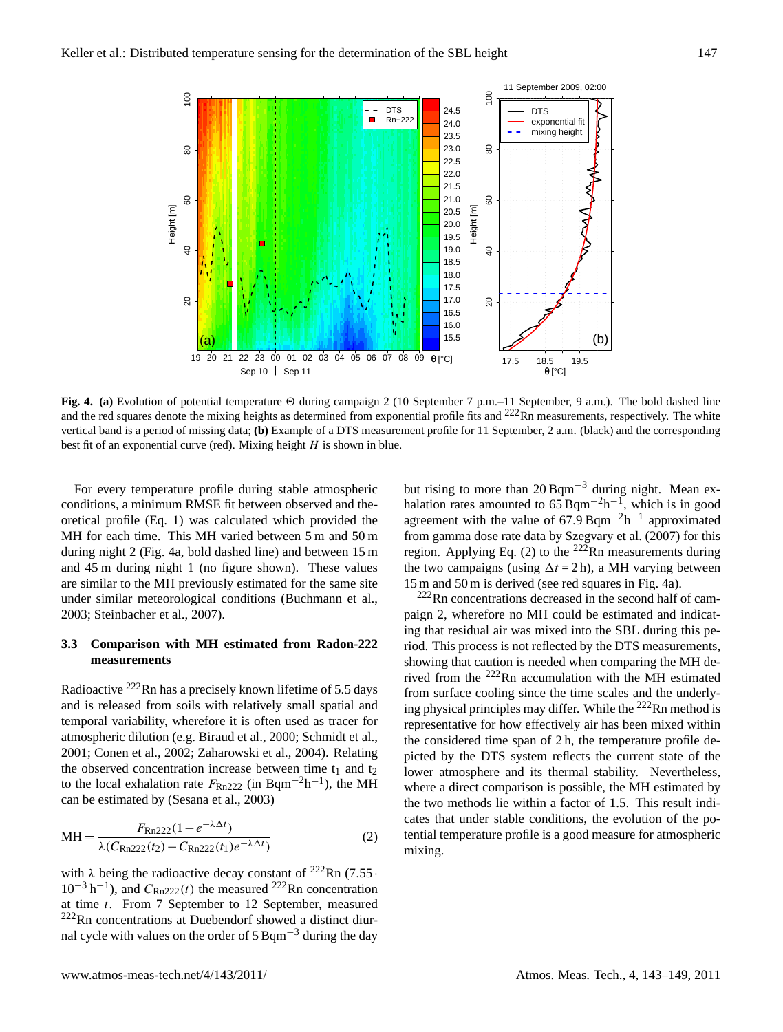

**Fig. 4.** (a) Evolution of potential temperature  $\Theta$  during campaign 2 (10 September 7 p.m.–11 September, 9 a.m.). The bold dashed line and the red squares denote the mixing heights as determined from exponential profile fits and  $222$ Rn measurements, respectively. The white vertical band is a period of missing data; **(b)** Example of a DTS measurement profile for 11 September, 2 a.m. (black) and the corresponding best fit of an exponential curve (red). Mixing height  $H$  is shown in blue.

For every temperature profile during stable atmospheric conditions, a minimum RMSE fit between observed and theoretical profile (Eq. 1) was calculated which provided the MH for each time. This MH varied between 5 m and 50 m during night 2 (Fig. 4a, bold dashed line) and between 15 m and 45 m during night 1 (no figure shown). These values are similar to the MH previously estimated for the same site under similar meteorological conditions (Buchmann et al., 2003; Steinbacher et al., 2007).

## **3.3 Comparison with MH estimated from Radon-222 measurements**

Radioactive  $^{222}$ Rn has a precisely known lifetime of 5.5 days and is released from soils with relatively small spatial and temporal variability, wherefore it is often used as tracer for atmospheric dilution (e.g. Biraud et al., 2000; Schmidt et al., 2001; Conen et al., 2002; Zaharowski et al., 2004). Relating the observed concentration increase between time  $t_1$  and  $t_2$ to the local exhalation rate  $F_{\text{Rn222}}$  (in Bqm<sup>-2</sup>h<sup>-1</sup>), the MH can be estimated by (Sesana et al., 2003)

$$
MH = \frac{F_{Rn222}(1 - e^{-\lambda \Delta t})}{\lambda (C_{Rn222}(t_2) - C_{Rn222}(t_1)e^{-\lambda \Delta t})}
$$
(2)

with  $\lambda$  being the radioactive decay constant of <sup>222</sup>Rn (7.55 ·  $10^{-3}$  h<sup>-1</sup>), and  $C_{\text{Rn222}}(t)$  the measured <sup>222</sup>Rn concentration at time t. From 7 September to 12 September, measured  $222$ Rn concentrations at Duebendorf showed a distinct diurnal cycle with values on the order of  $5$  Bqm<sup>-3</sup> during the day but rising to more than  $20$  Bqm<sup>-3</sup> during night. Mean exhalation rates amounted to  $65$  Bqm<sup>-2</sup>h<sup>-1</sup>, which is in good agreement with the value of  $67.9$  Bqm<sup>-2</sup>h<sup>-1</sup> approximated from gamma dose rate data by Szegvary et al. (2007) for this region. Applying Eq. (2) to the  $222$ Rn measurements during the two campaigns (using  $\Delta t = 2$  h), a MH varying between 15 m and 50 m is derived (see red squares in Fig. 4a).

 $222$ Rn concentrations decreased in the second half of campaign 2, wherefore no MH could be estimated and indicating that residual air was mixed into the SBL during this period. This process is not reflected by the DTS measurements, showing that caution is needed when comparing the MH derived from the <sup>222</sup>Rn accumulation with the MH estimated from surface cooling since the time scales and the underlying physical principles may differ. While the  $^{222}$ Rn method is representative for how effectively air has been mixed within the considered time span of 2 h, the temperature profile depicted by the DTS system reflects the current state of the lower atmosphere and its thermal stability. Nevertheless, where a direct comparison is possible, the MH estimated by the two methods lie within a factor of 1.5. This result indicates that under stable conditions, the evolution of the potential temperature profile is a good measure for atmospheric mixing.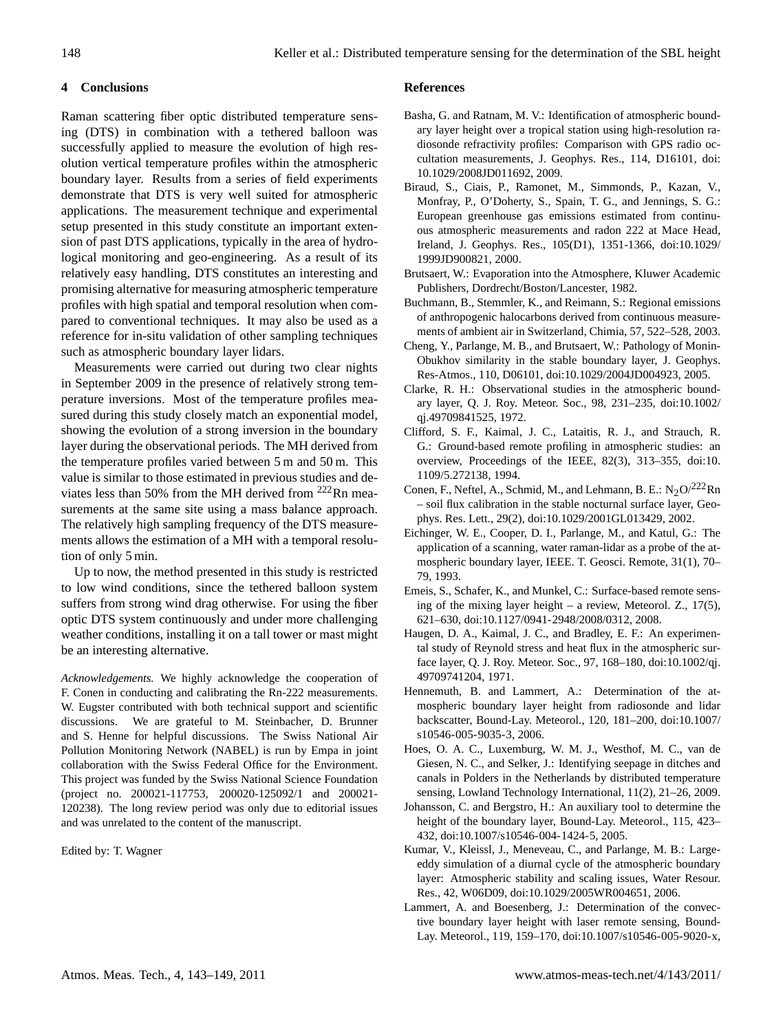# **4 Conclusions**

Raman scattering fiber optic distributed temperature sensing (DTS) in combination with a tethered balloon was successfully applied to measure the evolution of high resolution vertical temperature profiles within the atmospheric boundary layer. Results from a series of field experiments demonstrate that DTS is very well suited for atmospheric applications. The measurement technique and experimental setup presented in this study constitute an important extension of past DTS applications, typically in the area of hydrological monitoring and geo-engineering. As a result of its relatively easy handling, DTS constitutes an interesting and promising alternative for measuring atmospheric temperature profiles with high spatial and temporal resolution when compared to conventional techniques. It may also be used as a reference for in-situ validation of other sampling techniques such as atmospheric boundary layer lidars.

Measurements were carried out during two clear nights in September 2009 in the presence of relatively strong temperature inversions. Most of the temperature profiles measured during this study closely match an exponential model, showing the evolution of a strong inversion in the boundary layer during the observational periods. The MH derived from the temperature profiles varied between 5 m and 50 m. This value is similar to those estimated in previous studies and deviates less than 50% from the MH derived from  $222$ Rn measurements at the same site using a mass balance approach. The relatively high sampling frequency of the DTS measurements allows the estimation of a MH with a temporal resolution of only 5 min.

Up to now, the method presented in this study is restricted to low wind conditions, since the tethered balloon system suffers from strong wind drag otherwise. For using the fiber optic DTS system continuously and under more challenging weather conditions, installing it on a tall tower or mast might be an interesting alternative.

*Acknowledgements.* We highly acknowledge the cooperation of F. Conen in conducting and calibrating the Rn-222 measurements. W. Eugster contributed with both technical support and scientific discussions. We are grateful to M. Steinbacher, D. Brunner and S. Henne for helpful discussions. The Swiss National Air Pollution Monitoring Network (NABEL) is run by Empa in joint collaboration with the Swiss Federal Office for the Environment. This project was funded by the Swiss National Science Foundation (project no. 200021-117753, 200020-125092/1 and 200021- 120238). The long review period was only due to editorial issues and was unrelated to the content of the manuscript.

Edited by: T. Wagner

## **References**

- Basha, G. and Ratnam, M. V.: Identification of atmospheric boundary layer height over a tropical station using high-resolution radiosonde refractivity profiles: Comparison with GPS radio occultation measurements, J. Geophys. Res., 114, D16101, doi: 10.1029/2008JD011692, 2009.
- Biraud, S., Ciais, P., Ramonet, M., Simmonds, P., Kazan, V., Monfray, P., O'Doherty, S., Spain, T. G., and Jennings, S. G.: European greenhouse gas emissions estimated from continuous atmospheric measurements and radon 222 at Mace Head, Ireland, J. Geophys. Res., 105(D1), 1351-1366, doi:10.1029/ 1999JD900821, 2000.
- Brutsaert, W.: Evaporation into the Atmosphere, Kluwer Academic Publishers, Dordrecht/Boston/Lancester, 1982.
- Buchmann, B., Stemmler, K., and Reimann, S.: Regional emissions of anthropogenic halocarbons derived from continuous measurements of ambient air in Switzerland, Chimia, 57, 522–528, 2003.
- Cheng, Y., Parlange, M. B., and Brutsaert, W.: Pathology of Monin-Obukhov similarity in the stable boundary layer, J. Geophys. Res-Atmos., 110, D06101, doi:10.1029/2004JD004923, 2005.
- Clarke, R. H.: Observational studies in the atmospheric boundary layer, Q. J. Roy. Meteor. Soc., 98, 231–235, doi:10.1002/ qj.49709841525, 1972.
- Clifford, S. F., Kaimal, J. C., Lataitis, R. J., and Strauch, R. G.: Ground-based remote profiling in atmospheric studies: an overview, Proceedings of the IEEE, 82(3), 313–355, doi:10. 1109/5.272138, 1994.
- Conen, F., Neftel, A., Schmid, M., and Lehmann, B. E.:  $N_2O^{222}Rn$ – soil flux calibration in the stable nocturnal surface layer, Geophys. Res. Lett., 29(2), doi:10.1029/2001GL013429, 2002.
- Eichinger, W. E., Cooper, D. I., Parlange, M., and Katul, G.: The application of a scanning, water raman-lidar as a probe of the atmospheric boundary layer, IEEE. T. Geosci. Remote, 31(1), 70– 79, 1993.
- Emeis, S., Schafer, K., and Munkel, C.: Surface-based remote sensing of the mixing layer height – a review, Meteorol. Z., 17(5), 621–630, doi:10.1127/0941-2948/2008/0312, 2008.
- Haugen, D. A., Kaimal, J. C., and Bradley, E. F.: An experimental study of Reynold stress and heat flux in the atmospheric surface layer, Q. J. Roy. Meteor. Soc., 97, 168–180, doi:10.1002/qj. 49709741204, 1971.
- Hennemuth, B. and Lammert, A.: Determination of the atmospheric boundary layer height from radiosonde and lidar backscatter, Bound-Lay. Meteorol., 120, 181–200, doi:10.1007/ s10546-005-9035-3, 2006.
- Hoes, O. A. C., Luxemburg, W. M. J., Westhof, M. C., van de Giesen, N. C., and Selker, J.: Identifying seepage in ditches and canals in Polders in the Netherlands by distributed temperature sensing, Lowland Technology International, 11(2), 21–26, 2009.
- Johansson, C. and Bergstro, H.: An auxiliary tool to determine the height of the boundary layer, Bound-Lay. Meteorol., 115, 423– 432, doi:10.1007/s10546-004-1424-5, 2005.
- Kumar, V., Kleissl, J., Meneveau, C., and Parlange, M. B.: Largeeddy simulation of a diurnal cycle of the atmospheric boundary layer: Atmospheric stability and scaling issues, Water Resour. Res., 42, W06D09, doi:10.1029/2005WR004651, 2006.
- Lammert, A. and Boesenberg, J.: Determination of the convective boundary layer height with laser remote sensing, Bound-Lay. Meteorol., 119, 159–170, doi:10.1007/s10546-005-9020-x,